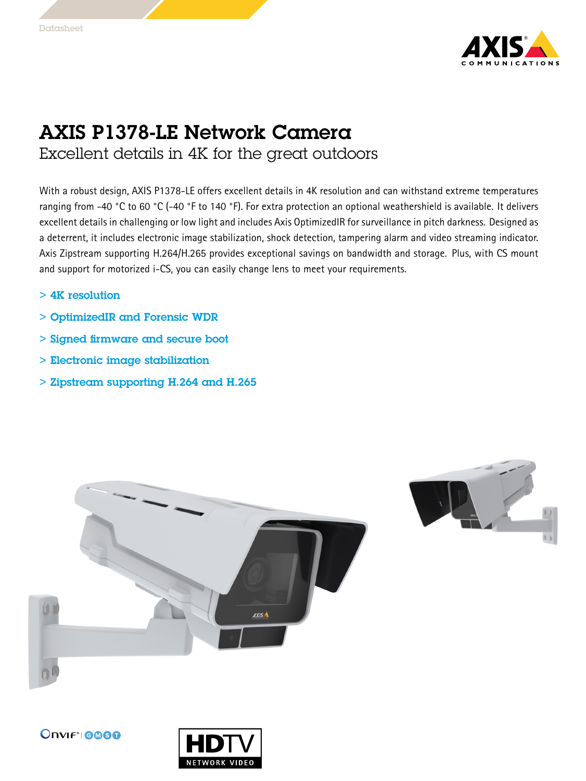

## AXIS P1378-LE Network Camera

Excellent details in 4K for the great outdoors

With <sup>a</sup> robust design, AXIS P1378-LE offers excellent details in 4K resolution and can withstand extreme temperatures ranging from -40 °C to <sup>60</sup> °C (-40 °F to <sup>140</sup> °F). For extra protection an optional weathershield is available. It delivers excellent details in challenging or low light and includes Axis OptimizedIR for surveillance in pitch darkness. Designed as <sup>a</sup> deterrent, it includes electronic image stabilization, shock detection, tampering alarm and video streaming indicator. Axis Zipstream supporting H.264/H.265 provides exceptional savings on bandwidth and storage. Plus, with CS mount and support for motorized i-CS, you can easily change lens to meet your requirements.

- > 4K resolution
- > OptimizedIR and Forensic WDR
- > Signed firmware and secure boot
- > Electronic image stabilization
- > Zipstream supporting H.264 and H.265





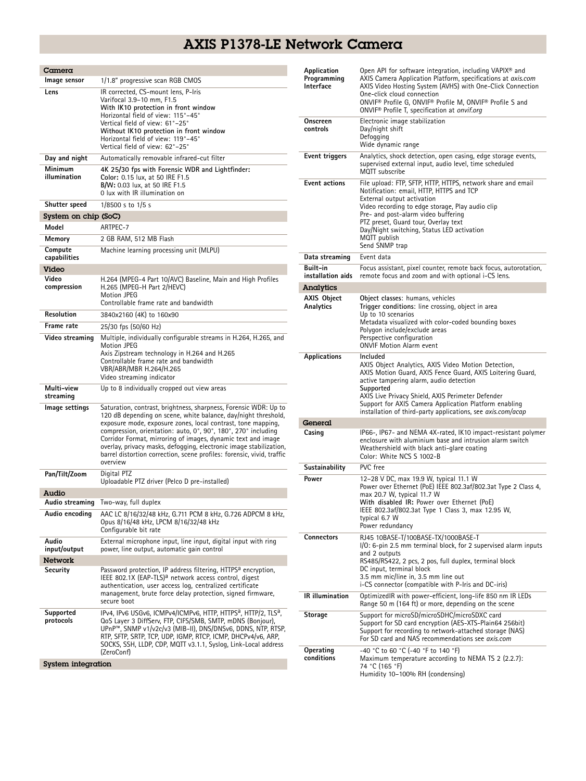## AXIS P1378-LE Network Camera

| Camera                  |                                                                                                                                                                                                                                                                                                                                                                                                                                                                                                 |  |  |  |
|-------------------------|-------------------------------------------------------------------------------------------------------------------------------------------------------------------------------------------------------------------------------------------------------------------------------------------------------------------------------------------------------------------------------------------------------------------------------------------------------------------------------------------------|--|--|--|
| Image sensor            | 1/1.8" progressive scan RGB CMOS                                                                                                                                                                                                                                                                                                                                                                                                                                                                |  |  |  |
| Lens                    | IR corrected, CS-mount lens, P-Iris<br>Varifocal 3.9-10 mm, F1.5<br>With IK10 protection in front window<br>Horizontal field of view: 115°-45°<br>Vertical field of view: 61°-25°<br>Without IK10 protection in front window<br>Horizontal field of view: 119°-45°<br>Vertical field of view: 62°-25°                                                                                                                                                                                           |  |  |  |
| Day and night           | Automatically removable infrared-cut filter                                                                                                                                                                                                                                                                                                                                                                                                                                                     |  |  |  |
| Minimum<br>illumination | 4K 25/30 fps with Forensic WDR and Lightfinder:<br>Color: 0.15 lux, at 50 IRE F1.5<br>B/W: 0.03 lux, at 50 IRE F1.5<br>0 lux with IR illumination on                                                                                                                                                                                                                                                                                                                                            |  |  |  |
| Shutter speed           | 1/8500 s to 1/5 s                                                                                                                                                                                                                                                                                                                                                                                                                                                                               |  |  |  |
| System on chip (SoC)    |                                                                                                                                                                                                                                                                                                                                                                                                                                                                                                 |  |  |  |
| Model                   | ARTPEC-7                                                                                                                                                                                                                                                                                                                                                                                                                                                                                        |  |  |  |
| Memory                  | 2 GB RAM, 512 MB Flash                                                                                                                                                                                                                                                                                                                                                                                                                                                                          |  |  |  |
| Compute<br>capabilities | Machine learning processing unit (MLPU)                                                                                                                                                                                                                                                                                                                                                                                                                                                         |  |  |  |
| Video                   |                                                                                                                                                                                                                                                                                                                                                                                                                                                                                                 |  |  |  |
| Video<br>compression    | H.264 (MPEG-4 Part 10/AVC) Baseline, Main and High Profiles<br>H.265 (MPEG-H Part 2/HEVC)<br><b>Motion JPEG</b><br>Controllable frame rate and bandwidth                                                                                                                                                                                                                                                                                                                                        |  |  |  |
| Resolution              | 3840x2160 (4K) to 160x90                                                                                                                                                                                                                                                                                                                                                                                                                                                                        |  |  |  |
| Frame rate              | 25/30 fps (50/60 Hz)                                                                                                                                                                                                                                                                                                                                                                                                                                                                            |  |  |  |
| Video streaming         | Multiple, individually configurable streams in H.264, H.265, and<br><b>Motion JPEG</b><br>Axis Zipstream technology in H.264 and H.265<br>Controllable frame rate and bandwidth<br>VBR/ABR/MBR H.264/H.265<br>Video streaming indicator                                                                                                                                                                                                                                                         |  |  |  |
| Multi-view<br>streaming | Up to 8 individually cropped out view areas                                                                                                                                                                                                                                                                                                                                                                                                                                                     |  |  |  |
| Image settings          | Saturation, contrast, brightness, sharpness, Forensic WDR: Up to<br>120 dB depending on scene, white balance, day/night threshold,<br>exposure mode, exposure zones, local contrast, tone mapping,<br>compression, orientation: auto, 0°, 90°, 180°, 270° including<br>Corridor Format, mirroring of images, dynamic text and image<br>overlay, privacy masks, defogging, electronic image stabilization,<br>barrel distortion correction, scene profiles: forensic, vivid, traffic<br>overview |  |  |  |
| Pan/Tilt/Zoom           | Digital PTZ<br>Uploadable PTZ driver (Pelco D pre-installed)                                                                                                                                                                                                                                                                                                                                                                                                                                    |  |  |  |
| Audio                   |                                                                                                                                                                                                                                                                                                                                                                                                                                                                                                 |  |  |  |
|                         | Audio streaming Two-way, full duplex                                                                                                                                                                                                                                                                                                                                                                                                                                                            |  |  |  |
| Audio encoding          | AAC LC 8/16/32/48 kHz, G.711 PCM 8 kHz, G.726 ADPCM 8 kHz,<br>Opus 8/16/48 kHz, LPCM 8/16/32/48 kHz<br>Configurable bit rate                                                                                                                                                                                                                                                                                                                                                                    |  |  |  |
| Audio<br>input/output   | External microphone input, line input, digital input with ring<br>power, line output, automatic gain control                                                                                                                                                                                                                                                                                                                                                                                    |  |  |  |
| <b>Network</b>          |                                                                                                                                                                                                                                                                                                                                                                                                                                                                                                 |  |  |  |
| Security                | Password protection, IP address filtering, HTTPS <sup>a</sup> encryption,<br>IEEE 802.1X (EAP-TLS) <sup>a</sup> network access control, digest<br>authentication, user access log, centralized certificate<br>management, brute force delay protection, signed firmware,<br>secure boot                                                                                                                                                                                                         |  |  |  |
| Supported<br>protocols  | IPv4, IPv6 USGv6, ICMPv4/ICMPv6, HTTP, HTTPS <sup>a</sup> , HTTP/2, TLS <sup>a</sup> ,<br>QoS Layer 3 DiffServ, FTP, CIFS/SMB, SMTP, mDNS (Bonjour),<br>UPnP™, SNMP v1/v2c/v3 (MIB-II), DNS/DNSv6, DDNS, NTP, RTSP,<br>RTP, SFTP, SRTP, TCP, UDP, IGMP, RTCP, ICMP, DHCPv4/v6, ARP,<br>SOCKS, SSH, LLDP, CDP, MQTT v3.1.1, Syslog, Link-Local address<br>(ZeroConf)                                                                                                                             |  |  |  |
| System integration      |                                                                                                                                                                                                                                                                                                                                                                                                                                                                                                 |  |  |  |

| Application<br>Programming<br><b>Interface</b> | Open API for software integration, including VAPIX <sup>®</sup> and<br>AXIS Camera Application Platform, specifications at axis.com<br>AXIS Video Hosting System (AVHS) with One-Click Connection<br>One-click cloud connection<br>ONVIF® Profile G, ONVIF® Profile M, ONVIF® Profile S and<br>ONVIF <sup>®</sup> Profile T, specification at onvif.org                   |  |  |  |
|------------------------------------------------|---------------------------------------------------------------------------------------------------------------------------------------------------------------------------------------------------------------------------------------------------------------------------------------------------------------------------------------------------------------------------|--|--|--|
| Onscreen<br>controls                           | Electronic image stabilization<br>Day/night shift<br>Defogging<br>Wide dynamic range                                                                                                                                                                                                                                                                                      |  |  |  |
| Event triggers                                 | Analytics, shock detection, open casing, edge storage events,<br>supervised external input, audio level, time scheduled<br>MQTT subscribe                                                                                                                                                                                                                                 |  |  |  |
| <b>Event actions</b>                           | File upload: FTP, SFTP, HTTP, HTTPS, network share and email<br>Notification: email, HTTP, HTTPS and TCP<br>External output activation<br>Video recording to edge storage, Play audio clip<br>Pre- and post-alarm video buffering<br>PTZ preset, Guard tour, Overlay text<br>Day/Night switching, Status LED activation<br>MQTT publish<br>Send SNMP trap                 |  |  |  |
| Data streaming                                 | Event data                                                                                                                                                                                                                                                                                                                                                                |  |  |  |
| Built-in<br>installation aids                  | Focus assistant, pixel counter, remote back focus, autorotation,<br>remote focus and zoom and with optional i-CS lens.                                                                                                                                                                                                                                                    |  |  |  |
| Analytics                                      |                                                                                                                                                                                                                                                                                                                                                                           |  |  |  |
| <b>AXIS Object</b><br>Analytics                | Object classes: humans, vehicles<br>Trigger conditions: line crossing, object in area<br>Up to 10 scenarios<br>Metadata visualized with color-coded bounding boxes<br>Polygon include/exclude areas<br>Perspective configuration<br><b>ONVIF Motion Alarm event</b>                                                                                                       |  |  |  |
| <b>Applications</b>                            | Included<br>AXIS Object Analytics, AXIS Video Motion Detection,<br>AXIS Motion Guard, AXIS Fence Guard, AXIS Loitering Guard,<br>active tampering alarm, audio detection<br>Supported<br>AXIS Live Privacy Shield, AXIS Perimeter Defender<br>Support for AXIS Camera Application Platform enabling<br>installation of third-party applications, see <i>axis.com/acap</i> |  |  |  |
| General<br>Casing                              | IP66-, IP67- and NEMA 4X-rated, IK10 impact-resistant polymer<br>enclosure with aluminium base and intrusion alarm switch<br>Weathershield with black anti-glare coating<br>Color: White NCS S 1002-B                                                                                                                                                                     |  |  |  |
| Sustainability                                 | PVC free                                                                                                                                                                                                                                                                                                                                                                  |  |  |  |
| Power                                          | 12-28 V DC, max 19.9 W, typical 11.1 W<br>Power over Ethernet (PoE) IEEE 802.3af/802.3at Type 2 Class 4,<br>max 20.7 W, typical 11.7 W<br>With disabled IR: Power over Ethernet (PoE)<br>IEEE 802.3af/802.3at Type 1 Class 3, max 12.95 W,<br>typical 6.7 W<br>Power redundancy                                                                                           |  |  |  |
| <b>Connectors</b>                              | RJ45 10BASE-T/100BASE-TX/1000BASE-T<br>I/O: 6-pin 2.5 mm terminal block, for 2 supervised alarm inputs<br>and 2 outputs<br>RS485/RS422, 2 pcs, 2 pos, full duplex, terminal block<br>DC input, terminal block<br>3.5 mm mic/line in, 3.5 mm line out<br>i-CS connector (compatible with P-Iris and DC-iris)                                                               |  |  |  |
| <b>IR</b> illumination                         | OptimizedIR with power-efficient, long-life 850 nm IR LEDs<br>Range 50 m (164 ft) or more, depending on the scene                                                                                                                                                                                                                                                         |  |  |  |
| Storage                                        | Support for microSD/microSDHC/microSDXC card<br>Support for SD card encryption (AES-XTS-Plain64 256bit)<br>Support for recording to network-attached storage (NAS)<br>For SD card and NAS recommendations see axis.com                                                                                                                                                    |  |  |  |
| Operating<br>conditions                        | -40 °C to 60 °C (-40 °F to 140 °F)<br>Maximum temperature according to NEMA TS 2 (2.2.7):<br>74 °C (165 °F)<br>Humidity 10-100% RH (condensing)                                                                                                                                                                                                                           |  |  |  |